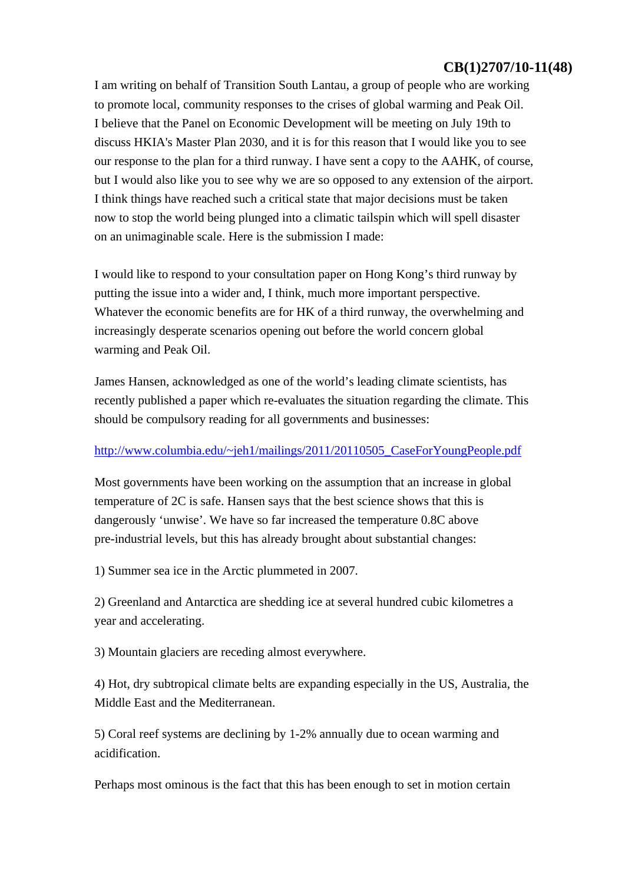# **CB(1)2707/10-11(48)**

I am writing on behalf of Transition South Lantau, a group of people who are working to promote local, community responses to the crises of global warming and Peak Oil. I believe that the Panel on Economic Development will be meeting on July 19th to discuss HKIA's Master Plan 2030, and it is for this reason that I would like you to see our response to the plan for a third runway. I have sent a copy to the AAHK, of course, but I would also like you to see why we are so opposed to any extension of the airport. I think things have reached such a critical state that major decisions must be taken now to stop the world being plunged into a climatic tailspin which will spell disaster on an unimaginable scale. Here is the submission I made:

I would like to respond to your consultation paper on Hong Kong's third runway by putting the issue into a wider and, I think, much more important perspective. Whatever the economic benefits are for HK of a third runway, the overwhelming and increasingly desperate scenarios opening out before the world concern global warming and Peak Oil.

James Hansen, acknowledged as one of the world's leading climate scientists, has recently published a paper which re-evaluates the situation regarding the climate. This should be compulsory reading for all governments and businesses:

## http://www.columbia.edu/~jeh1/mailings/2011/20110505\_CaseForYoungPeople.pdf

Most governments have been working on the assumption that an increase in global temperature of 2C is safe. Hansen says that the best science shows that this is dangerously 'unwise'. We have so far increased the temperature 0.8C above pre-industrial levels, but this has already brought about substantial changes:

1) Summer sea ice in the Arctic plummeted in 2007.

2) Greenland and Antarctica are shedding ice at several hundred cubic kilometres a year and accelerating.

3) Mountain glaciers are receding almost everywhere.

4) Hot, dry subtropical climate belts are expanding especially in the US, Australia, the Middle East and the Mediterranean.

5) Coral reef systems are declining by 1-2% annually due to ocean warming and acidification.

Perhaps most ominous is the fact that this has been enough to set in motion certain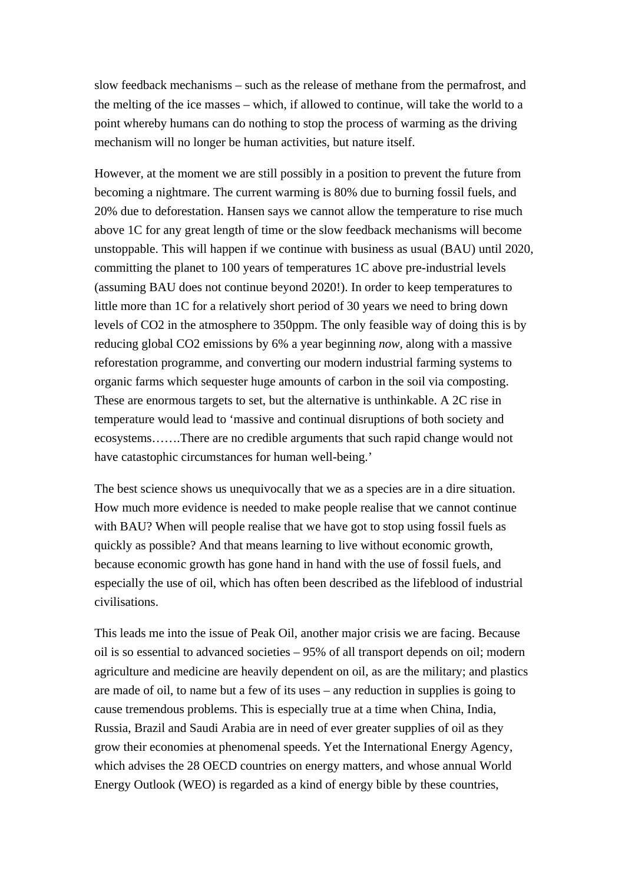slow feedback mechanisms – such as the release of methane from the permafrost, and the melting of the ice masses – which, if allowed to continue, will take the world to a point whereby humans can do nothing to stop the process of warming as the driving mechanism will no longer be human activities, but nature itself.

However, at the moment we are still possibly in a position to prevent the future from becoming a nightmare. The current warming is 80% due to burning fossil fuels, and 20% due to deforestation. Hansen says we cannot allow the temperature to rise much above 1C for any great length of time or the slow feedback mechanisms will become unstoppable. This will happen if we continue with business as usual (BAU) until 2020, committing the planet to 100 years of temperatures 1C above pre-industrial levels (assuming BAU does not continue beyond 2020!). In order to keep temperatures to little more than 1C for a relatively short period of 30 years we need to bring down levels of CO2 in the atmosphere to 350ppm. The only feasible way of doing this is by reducing global CO2 emissions by 6% a year beginning *now,* along with a massive reforestation programme, and converting our modern industrial farming systems to organic farms which sequester huge amounts of carbon in the soil via composting. These are enormous targets to set, but the alternative is unthinkable. A 2C rise in temperature would lead to 'massive and continual disruptions of both society and ecosystems…….There are no credible arguments that such rapid change would not have catastophic circumstances for human well-being.'

The best science shows us unequivocally that we as a species are in a dire situation. How much more evidence is needed to make people realise that we cannot continue with BAU? When will people realise that we have got to stop using fossil fuels as quickly as possible? And that means learning to live without economic growth, because economic growth has gone hand in hand with the use of fossil fuels, and especially the use of oil, which has often been described as the lifeblood of industrial civilisations.

This leads me into the issue of Peak Oil, another major crisis we are facing. Because oil is so essential to advanced societies – 95% of all transport depends on oil; modern agriculture and medicine are heavily dependent on oil, as are the military; and plastics are made of oil, to name but a few of its uses – any reduction in supplies is going to cause tremendous problems. This is especially true at a time when China, India, Russia, Brazil and Saudi Arabia are in need of ever greater supplies of oil as they grow their economies at phenomenal speeds. Yet the International Energy Agency, which advises the 28 OECD countries on energy matters, and whose annual World Energy Outlook (WEO) is regarded as a kind of energy bible by these countries,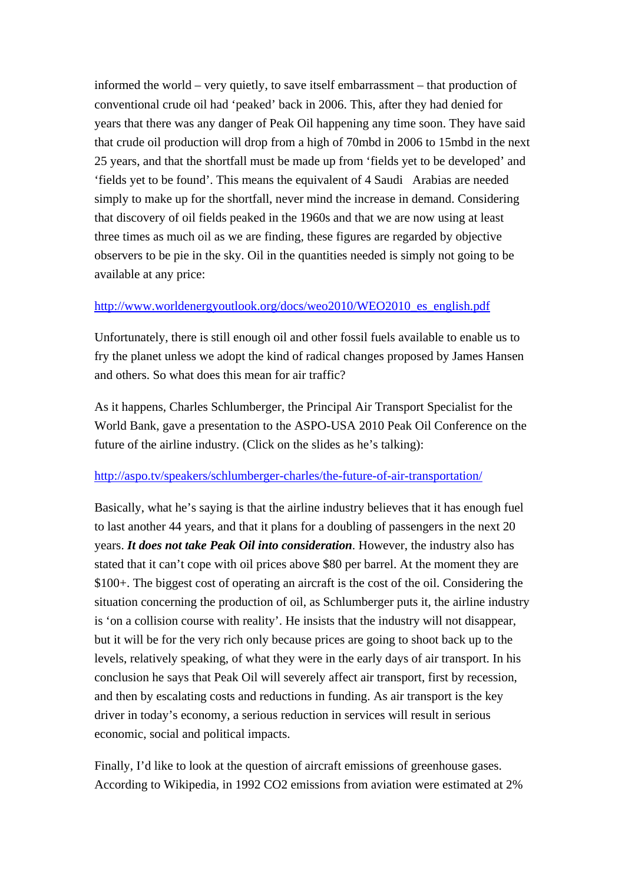informed the world – very quietly, to save itself embarrassment – that production of conventional crude oil had 'peaked' back in 2006. This, after they had denied for years that there was any danger of Peak Oil happening any time soon. They have said that crude oil production will drop from a high of 70mbd in 2006 to 15mbd in the next 25 years, and that the shortfall must be made up from 'fields yet to be developed' and 'fields yet to be found'. This means the equivalent of 4 Saudi Arabias are needed simply to make up for the shortfall, never mind the increase in demand. Considering that discovery of oil fields peaked in the 1960s and that we are now using at least three times as much oil as we are finding, these figures are regarded by objective observers to be pie in the sky. Oil in the quantities needed is simply not going to be available at any price:

### http://www.worldenergyoutlook.org/docs/weo2010/WEO2010\_es\_english.pdf

Unfortunately, there is still enough oil and other fossil fuels available to enable us to fry the planet unless we adopt the kind of radical changes proposed by James Hansen and others. So what does this mean for air traffic?

As it happens, Charles Schlumberger, the Principal Air Transport Specialist for the World Bank, gave a presentation to the ASPO-USA 2010 Peak Oil Conference on the future of the airline industry. (Click on the slides as he's talking):

## http://aspo.tv/speakers/schlumberger-charles/the-future-of-air-transportation/

Basically, what he's saying is that the airline industry believes that it has enough fuel to last another 44 years, and that it plans for a doubling of passengers in the next 20 years. *It does not take Peak Oil into consideration*. However, the industry also has stated that it can't cope with oil prices above \$80 per barrel. At the moment they are \$100+. The biggest cost of operating an aircraft is the cost of the oil. Considering the situation concerning the production of oil, as Schlumberger puts it, the airline industry is 'on a collision course with reality'. He insists that the industry will not disappear, but it will be for the very rich only because prices are going to shoot back up to the levels, relatively speaking, of what they were in the early days of air transport. In his conclusion he says that Peak Oil will severely affect air transport, first by recession, and then by escalating costs and reductions in funding. As air transport is the key driver in today's economy, a serious reduction in services will result in serious economic, social and political impacts.

Finally, I'd like to look at the question of aircraft emissions of greenhouse gases. According to Wikipedia, in 1992 CO2 emissions from aviation were estimated at 2%